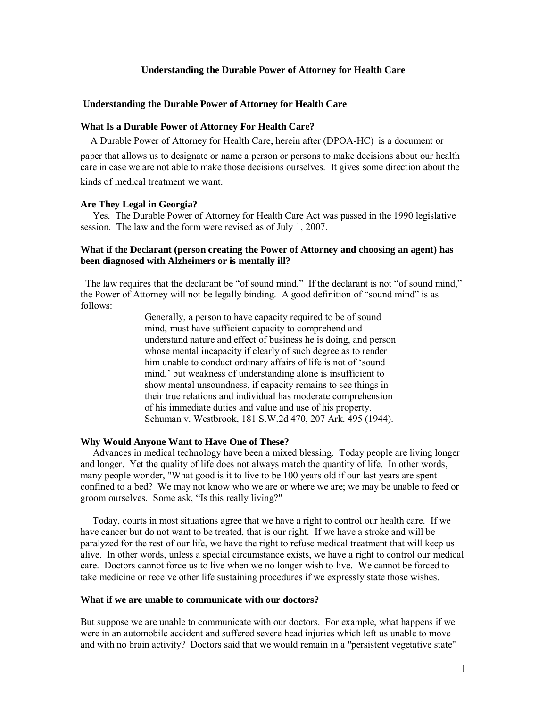#### **Understanding the Durable Power of Attorney for Health Care**

#### **Understanding the Durable Power of Attorney for Health Care**

#### **What Is a Durable Power of Attorney For Health Care?**

A Durable Power of Attorney for Health Care, herein after (DPOA-HC) is a document or

paper that allows us to designate or name a person or persons to make decisions about our health care in case we are not able to make those decisions ourselves. It gives some direction about the kinds of medical treatment we want.

#### **Are They Legal in Georgia?**

 Yes. The Durable Power of Attorney for Health Care Act was passed in the 1990 legislative session. The law and the form were revised as of July 1, 2007.

#### **What if the Declarant (person creating the Power of Attorney and choosing an agent) has been diagnosed with Alzheimers or is mentally ill?**

 The law requires that the declarant be "of sound mind." If the declarant is not "of sound mind," the Power of Attorney will not be legally binding. A good definition of "sound mind" is as follows:

> Generally, a person to have capacity required to be of sound mind, must have sufficient capacity to comprehend and understand nature and effect of business he is doing, and person whose mental incapacity if clearly of such degree as to render him unable to conduct ordinary affairs of life is not of "sound mind," but weakness of understanding alone is insufficient to show mental unsoundness, if capacity remains to see things in their true relations and individual has moderate comprehension of his immediate duties and value and use of his property. Schuman v. Westbrook, 181 S.W.2d 470, 207 Ark. 495 (1944).

#### **Why Would Anyone Want to Have One of These?**

Advances in medical technology have been a mixed blessing. Today people are living longer and longer. Yet the quality of life does not always match the quantity of life. In other words, many people wonder, "What good is it to live to be 100 years old if our last years are spent confined to a bed? We may not know who we are or where we are; we may be unable to feed or groom ourselves. Some ask, "Is this really living?"

 Today, courts in most situations agree that we have a right to control our health care. If we have cancer but do not want to be treated, that is our right. If we have a stroke and will be paralyzed for the rest of our life, we have the right to refuse medical treatment that will keep us alive. In other words, unless a special circumstance exists, we have a right to control our medical care. Doctors cannot force us to live when we no longer wish to live. We cannot be forced to take medicine or receive other life sustaining procedures if we expressly state those wishes.

#### **What if we are unable to communicate with our doctors?**

But suppose we are unable to communicate with our doctors. For example, what happens if we were in an automobile accident and suffered severe head injuries which left us unable to move and with no brain activity? Doctors said that we would remain in a "persistent vegetative state"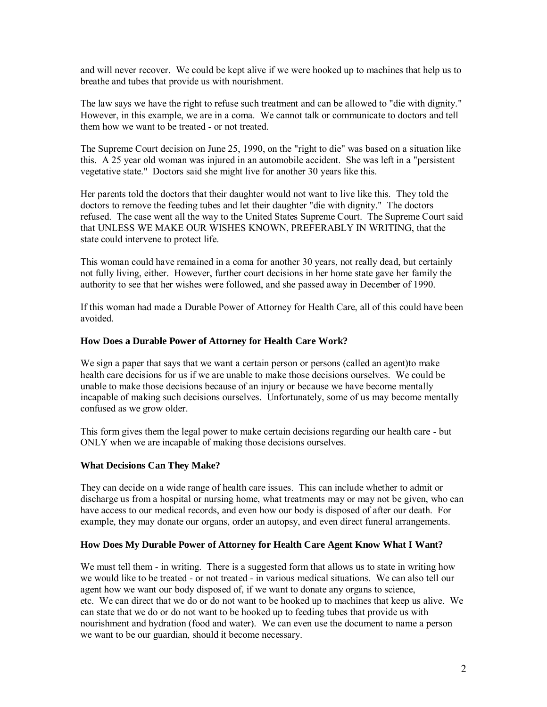and will never recover. We could be kept alive if we were hooked up to machines that help us to breathe and tubes that provide us with nourishment.

The law says we have the right to refuse such treatment and can be allowed to "die with dignity." However, in this example, we are in a coma. We cannot talk or communicate to doctors and tell them how we want to be treated - or not treated.

The Supreme Court decision on June 25, 1990, on the "right to die" was based on a situation like this. A 25 year old woman was injured in an automobile accident. She was left in a "persistent vegetative state." Doctors said she might live for another 30 years like this.

Her parents told the doctors that their daughter would not want to live like this. They told the doctors to remove the feeding tubes and let their daughter "die with dignity." The doctors refused. The case went all the way to the United States Supreme Court. The Supreme Court said that UNLESS WE MAKE OUR WISHES KNOWN, PREFERABLY IN WRITING, that the state could intervene to protect life.

This woman could have remained in a coma for another 30 years, not really dead, but certainly not fully living, either. However, further court decisions in her home state gave her family the authority to see that her wishes were followed, and she passed away in December of 1990.

If this woman had made a Durable Power of Attorney for Health Care, all of this could have been avoided.

## **How Does a Durable Power of Attorney for Health Care Work?**

We sign a paper that says that we want a certain person or persons (called an agent)to make health care decisions for us if we are unable to make those decisions ourselves. We could be unable to make those decisions because of an injury or because we have become mentally incapable of making such decisions ourselves. Unfortunately, some of us may become mentally confused as we grow older.

This form gives them the legal power to make certain decisions regarding our health care - but ONLY when we are incapable of making those decisions ourselves.

## **What Decisions Can They Make?**

They can decide on a wide range of health care issues. This can include whether to admit or discharge us from a hospital or nursing home, what treatments may or may not be given, who can have access to our medical records, and even how our body is disposed of after our death. For example, they may donate our organs, order an autopsy, and even direct funeral arrangements.

## **How Does My Durable Power of Attorney for Health Care Agent Know What I Want?**

We must tell them - in writing. There is a suggested form that allows us to state in writing how we would like to be treated - or not treated - in various medical situations. We can also tell our agent how we want our body disposed of, if we want to donate any organs to science, etc. We can direct that we do or do not want to be hooked up to machines that keep us alive. We can state that we do or do not want to be hooked up to feeding tubes that provide us with nourishment and hydration (food and water). We can even use the document to name a person we want to be our guardian, should it become necessary.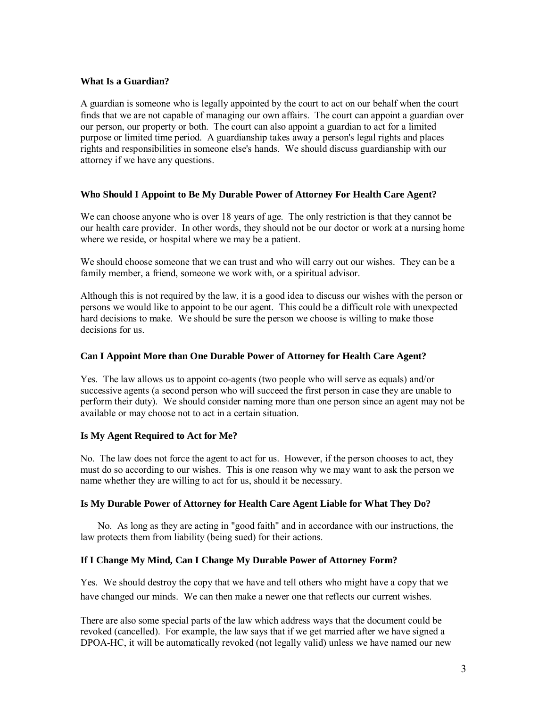## **What Is a Guardian?**

A guardian is someone who is legally appointed by the court to act on our behalf when the court finds that we are not capable of managing our own affairs. The court can appoint a guardian over our person, our property or both. The court can also appoint a guardian to act for a limited purpose or limited time period. A guardianship takes away a person's legal rights and places rights and responsibilities in someone else's hands. We should discuss guardianship with our attorney if we have any questions.

## **Who Should I Appoint to Be My Durable Power of Attorney For Health Care Agent?**

We can choose anyone who is over 18 years of age. The only restriction is that they cannot be our health care provider. In other words, they should not be our doctor or work at a nursing home where we reside, or hospital where we may be a patient.

We should choose someone that we can trust and who will carry out our wishes. They can be a family member, a friend, someone we work with, or a spiritual advisor.

Although this is not required by the law, it is a good idea to discuss our wishes with the person or persons we would like to appoint to be our agent. This could be a difficult role with unexpected hard decisions to make. We should be sure the person we choose is willing to make those decisions for us.

## **Can I Appoint More than One Durable Power of Attorney for Health Care Agent?**

Yes. The law allows us to appoint co-agents (two people who will serve as equals) and/or successive agents (a second person who will succeed the first person in case they are unable to perform their duty). We should consider naming more than one person since an agent may not be available or may choose not to act in a certain situation.

## **Is My Agent Required to Act for Me?**

No. The law does not force the agent to act for us. However, if the person chooses to act, they must do so according to our wishes. This is one reason why we may want to ask the person we name whether they are willing to act for us, should it be necessary.

## **Is My Durable Power of Attorney for Health Care Agent Liable for What They Do?**

 No. As long as they are acting in "good faith" and in accordance with our instructions, the law protects them from liability (being sued) for their actions.

# **If I Change My Mind, Can I Change My Durable Power of Attorney Form?**

Yes. We should destroy the copy that we have and tell others who might have a copy that we have changed our minds. We can then make a newer one that reflects our current wishes.

There are also some special parts of the law which address ways that the document could be revoked (cancelled). For example, the law says that if we get married after we have signed a DPOA-HC, it will be automatically revoked (not legally valid) unless we have named our new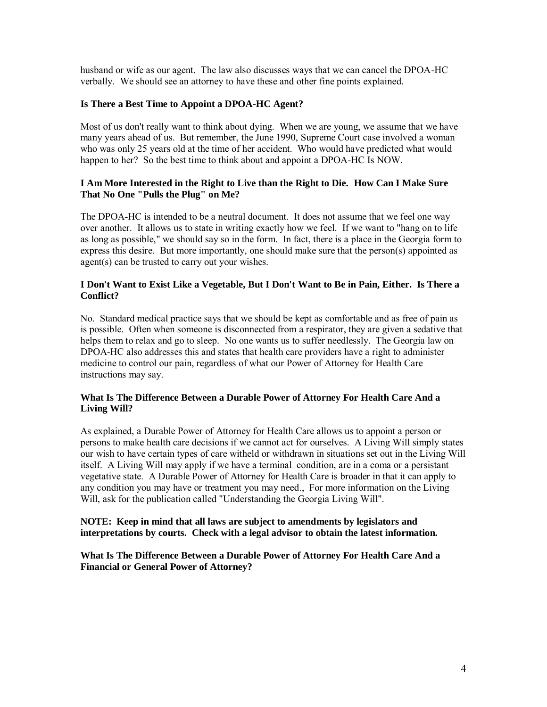husband or wife as our agent. The law also discusses ways that we can cancel the DPOA-HC verbally. We should see an attorney to have these and other fine points explained.

## **Is There a Best Time to Appoint a DPOA-HC Agent?**

Most of us don't really want to think about dying. When we are young, we assume that we have many years ahead of us. But remember, the June 1990, Supreme Court case involved a woman who was only 25 years old at the time of her accident. Who would have predicted what would happen to her? So the best time to think about and appoint a DPOA-HC Is NOW.

## **I Am More Interested in the Right to Live than the Right to Die. How Can I Make Sure That No One "Pulls the Plug" on Me?**

The DPOA-HC is intended to be a neutral document. It does not assume that we feel one way over another. It allows us to state in writing exactly how we feel. If we want to "hang on to life as long as possible," we should say so in the form. In fact, there is a place in the Georgia form to express this desire. But more importantly, one should make sure that the person(s) appointed as agent(s) can be trusted to carry out your wishes.

## **I Don't Want to Exist Like a Vegetable, But I Don't Want to Be in Pain, Either. Is There a Conflict?**

No. Standard medical practice says that we should be kept as comfortable and as free of pain as is possible. Often when someone is disconnected from a respirator, they are given a sedative that helps them to relax and go to sleep. No one wants us to suffer needlessly. The Georgia law on DPOA-HC also addresses this and states that health care providers have a right to administer medicine to control our pain, regardless of what our Power of Attorney for Health Care instructions may say.

## **What Is The Difference Between a Durable Power of Attorney For Health Care And a Living Will?**

As explained, a Durable Power of Attorney for Health Care allows us to appoint a person or persons to make health care decisions if we cannot act for ourselves. A Living Will simply states our wish to have certain types of care witheld or withdrawn in situations set out in the Living Will itself. A Living Will may apply if we have a terminal condition, are in a coma or a persistant vegetative state. A Durable Power of Attorney for Health Care is broader in that it can apply to any condition you may have or treatment you may need., For more information on the Living Will, ask for the publication called "Understanding the Georgia Living Will".

**NOTE: Keep in mind that all laws are subject to amendments by legislators and interpretations by courts. Check with a legal advisor to obtain the latest information.** 

## **What Is The Difference Between a Durable Power of Attorney For Health Care And a Financial or General Power of Attorney?**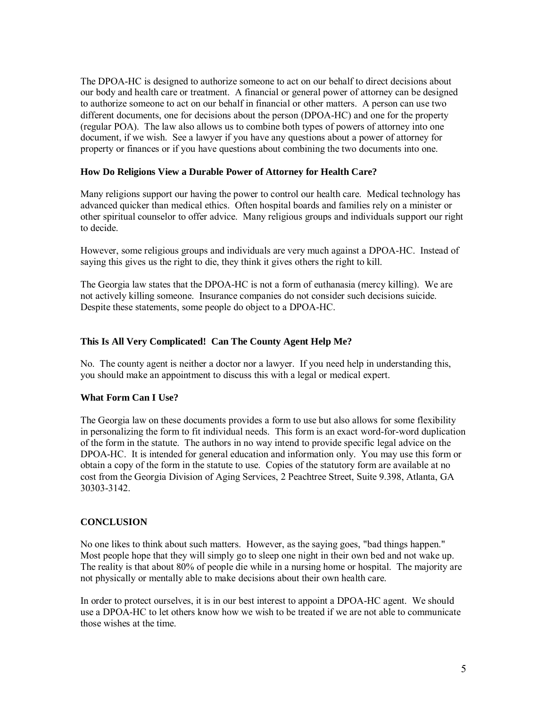The DPOA-HC is designed to authorize someone to act on our behalf to direct decisions about our body and health care or treatment. A financial or general power of attorney can be designed to authorize someone to act on our behalf in financial or other matters. A person can use two different documents, one for decisions about the person (DPOA-HC) and one for the property (regular POA). The law also allows us to combine both types of powers of attorney into one document, if we wish. See a lawyer if you have any questions about a power of attorney for property or finances or if you have questions about combining the two documents into one.

## **How Do Religions View a Durable Power of Attorney for Health Care?**

Many religions support our having the power to control our health care. Medical technology has advanced quicker than medical ethics. Often hospital boards and families rely on a minister or other spiritual counselor to offer advice. Many religious groups and individuals support our right to decide.

However, some religious groups and individuals are very much against a DPOA-HC. Instead of saying this gives us the right to die, they think it gives others the right to kill.

The Georgia law states that the DPOA-HC is not a form of euthanasia (mercy killing). We are not actively killing someone. Insurance companies do not consider such decisions suicide. Despite these statements, some people do object to a DPOA-HC.

# **This Is All Very Complicated! Can The County Agent Help Me?**

No. The county agent is neither a doctor nor a lawyer. If you need help in understanding this, you should make an appointment to discuss this with a legal or medical expert.

## **What Form Can I Use?**

The Georgia law on these documents provides a form to use but also allows for some flexibility in personalizing the form to fit individual needs. This form is an exact word-for-word duplication of the form in the statute. The authors in no way intend to provide specific legal advice on the DPOA-HC. It is intended for general education and information only. You may use this form or obtain a copy of the form in the statute to use. Copies of the statutory form are available at no cost from the Georgia Division of Aging Services, 2 Peachtree Street, Suite 9.398, Atlanta, GA 30303-3142.

## **CONCLUSION**

No one likes to think about such matters. However, as the saying goes, "bad things happen." Most people hope that they will simply go to sleep one night in their own bed and not wake up. The reality is that about 80% of people die while in a nursing home or hospital. The majority are not physically or mentally able to make decisions about their own health care.

In order to protect ourselves, it is in our best interest to appoint a DPOA-HC agent. We should use a DPOA-HC to let others know how we wish to be treated if we are not able to communicate those wishes at the time.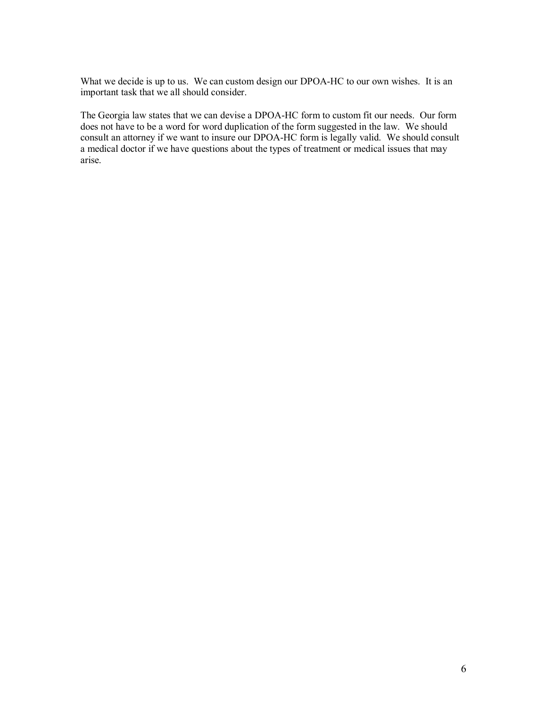What we decide is up to us. We can custom design our DPOA-HC to our own wishes. It is an important task that we all should consider.

The Georgia law states that we can devise a DPOA-HC form to custom fit our needs. Our form does not have to be a word for word duplication of the form suggested in the law. We should consult an attorney if we want to insure our DPOA-HC form is legally valid. We should consult a medical doctor if we have questions about the types of treatment or medical issues that may arise.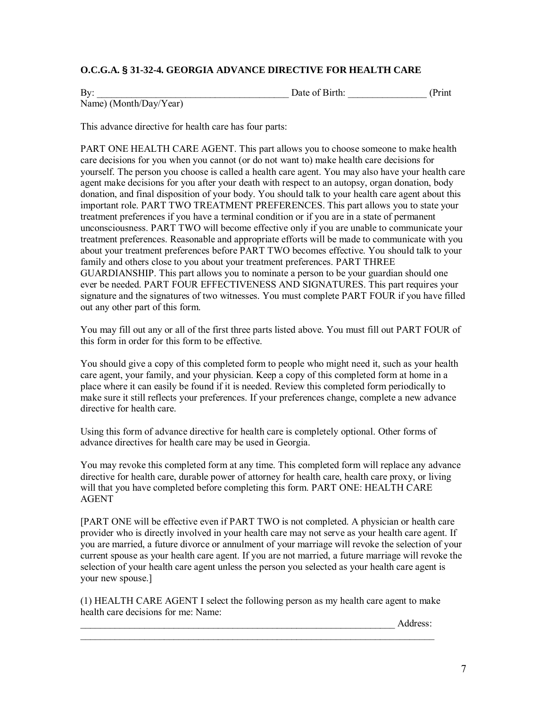# **O.C.G.A. § 31-32-4. GEORGIA ADVANCE DIRECTIVE FOR HEALTH CARE**

| $\mathbf{B} \mathbf{v}$                                      | Date of Birth: | Print |
|--------------------------------------------------------------|----------------|-------|
| $\text{Norm}(\text{Math}/\text{Down}/\text{V}_{\text{out}})$ |                |       |

Name) (Month/Day/Year)

This advance directive for health care has four parts:

PART ONE HEALTH CARE AGENT. This part allows you to choose someone to make health care decisions for you when you cannot (or do not want to) make health care decisions for yourself. The person you choose is called a health care agent. You may also have your health care agent make decisions for you after your death with respect to an autopsy, organ donation, body donation, and final disposition of your body. You should talk to your health care agent about this important role. PART TWO TREATMENT PREFERENCES. This part allows you to state your treatment preferences if you have a terminal condition or if you are in a state of permanent unconsciousness. PART TWO will become effective only if you are unable to communicate your treatment preferences. Reasonable and appropriate efforts will be made to communicate with you about your treatment preferences before PART TWO becomes effective. You should talk to your family and others close to you about your treatment preferences. PART THREE GUARDIANSHIP. This part allows you to nominate a person to be your guardian should one ever be needed. PART FOUR EFFECTIVENESS AND SIGNATURES. This part requires your signature and the signatures of two witnesses. You must complete PART FOUR if you have filled out any other part of this form.

You may fill out any or all of the first three parts listed above. You must fill out PART FOUR of this form in order for this form to be effective.

You should give a copy of this completed form to people who might need it, such as your health care agent, your family, and your physician. Keep a copy of this completed form at home in a place where it can easily be found if it is needed. Review this completed form periodically to make sure it still reflects your preferences. If your preferences change, complete a new advance directive for health care.

Using this form of advance directive for health care is completely optional. Other forms of advance directives for health care may be used in Georgia.

You may revoke this completed form at any time. This completed form will replace any advance directive for health care, durable power of attorney for health care, health care proxy, or living will that you have completed before completing this form. PART ONE: HEALTH CARE AGENT

[PART ONE will be effective even if PART TWO is not completed. A physician or health care provider who is directly involved in your health care may not serve as your health care agent. If you are married, a future divorce or annulment of your marriage will revoke the selection of your current spouse as your health care agent. If you are not married, a future marriage will revoke the selection of your health care agent unless the person you selected as your health care agent is your new spouse.]

(1) HEALTH CARE AGENT I select the following person as my health care agent to make health care decisions for me: Name:

\_\_\_\_\_\_\_\_\_\_\_\_\_\_\_\_\_\_\_\_\_\_\_\_\_\_\_\_\_\_\_\_\_\_\_\_\_\_\_\_\_\_\_\_\_\_\_\_\_\_\_\_\_\_\_\_\_\_\_\_\_\_\_\_\_\_\_\_\_\_\_\_

\_\_\_\_\_\_\_\_\_\_\_\_\_\_\_\_\_\_\_\_\_\_\_\_\_\_\_\_\_\_\_\_\_\_\_\_\_\_\_\_\_\_\_\_\_\_\_\_\_\_\_\_\_\_\_\_\_\_\_\_\_\_\_\_ Address: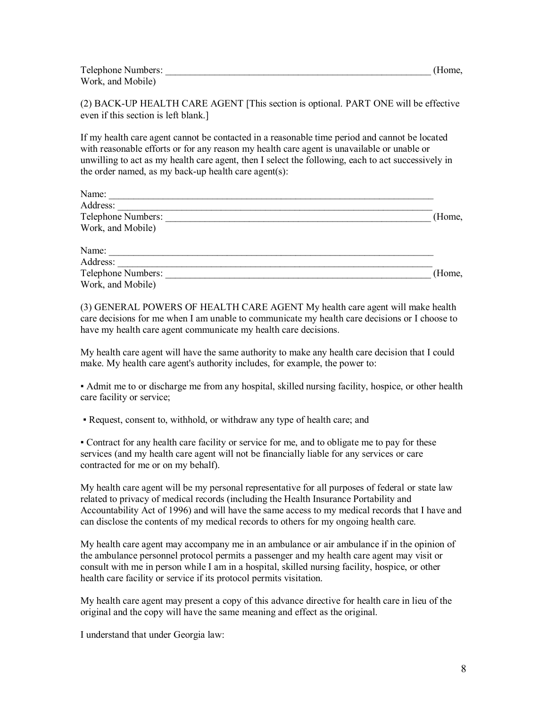| Telephone Numbers: | (Home. |
|--------------------|--------|
| Work, and Mobile)  |        |

(2) BACK-UP HEALTH CARE AGENT [This section is optional. PART ONE will be effective even if this section is left blank.]

If my health care agent cannot be contacted in a reasonable time period and cannot be located with reasonable efforts or for any reason my health care agent is unavailable or unable or unwilling to act as my health care agent, then I select the following, each to act successively in the order named, as my back-up health care agent(s):

| Name:              |        |
|--------------------|--------|
| Address:           |        |
| Telephone Numbers: | (Home, |
| Work, and Mobile)  |        |
| $N_{\alpha}$       |        |

| Name:              |        |
|--------------------|--------|
| Address:           |        |
| Telephone Numbers: | (Home, |
| Work, and Mobile)  |        |

(3) GENERAL POWERS OF HEALTH CARE AGENT My health care agent will make health care decisions for me when I am unable to communicate my health care decisions or I choose to have my health care agent communicate my health care decisions.

My health care agent will have the same authority to make any health care decision that I could make. My health care agent's authority includes, for example, the power to:

▪ Admit me to or discharge me from any hospital, skilled nursing facility, hospice, or other health care facility or service;

▪ Request, consent to, withhold, or withdraw any type of health care; and

▪ Contract for any health care facility or service for me, and to obligate me to pay for these services (and my health care agent will not be financially liable for any services or care contracted for me or on my behalf).

My health care agent will be my personal representative for all purposes of federal or state law related to privacy of medical records (including the Health Insurance Portability and Accountability Act of 1996) and will have the same access to my medical records that I have and can disclose the contents of my medical records to others for my ongoing health care.

My health care agent may accompany me in an ambulance or air ambulance if in the opinion of the ambulance personnel protocol permits a passenger and my health care agent may visit or consult with me in person while I am in a hospital, skilled nursing facility, hospice, or other health care facility or service if its protocol permits visitation.

My health care agent may present a copy of this advance directive for health care in lieu of the original and the copy will have the same meaning and effect as the original.

I understand that under Georgia law: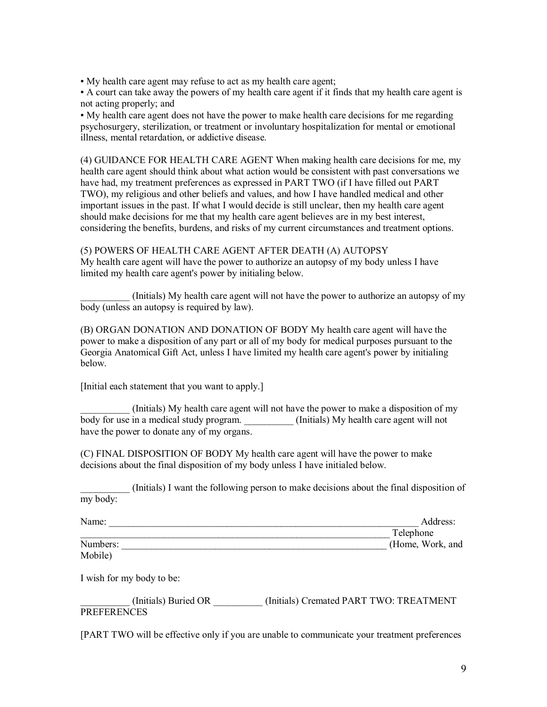▪ My health care agent may refuse to act as my health care agent;

▪ A court can take away the powers of my health care agent if it finds that my health care agent is not acting properly; and

▪ My health care agent does not have the power to make health care decisions for me regarding psychosurgery, sterilization, or treatment or involuntary hospitalization for mental or emotional illness, mental retardation, or addictive disease.

(4) GUIDANCE FOR HEALTH CARE AGENT When making health care decisions for me, my health care agent should think about what action would be consistent with past conversations we have had, my treatment preferences as expressed in PART TWO (if I have filled out PART TWO), my religious and other beliefs and values, and how I have handled medical and other important issues in the past. If what I would decide is still unclear, then my health care agent should make decisions for me that my health care agent believes are in my best interest, considering the benefits, burdens, and risks of my current circumstances and treatment options.

(5) POWERS OF HEALTH CARE AGENT AFTER DEATH (A) AUTOPSY My health care agent will have the power to authorize an autopsy of my body unless I have limited my health care agent's power by initialing below.

(Initials) My health care agent will not have the power to authorize an autopsy of my body (unless an autopsy is required by law).

(B) ORGAN DONATION AND DONATION OF BODY My health care agent will have the power to make a disposition of any part or all of my body for medical purposes pursuant to the Georgia Anatomical Gift Act, unless I have limited my health care agent's power by initialing below.

[Initial each statement that you want to apply.]

(Initials) My health care agent will not have the power to make a disposition of my body for use in a medical study program. (Initials) My health care agent will not have the power to donate any of my organs.

(C) FINAL DISPOSITION OF BODY My health care agent will have the power to make decisions about the final disposition of my body unless I have initialed below.

\_\_\_\_\_\_\_\_\_\_ (Initials) I want the following person to make decisions about the final disposition of my body:

| Name:    | Address:         |
|----------|------------------|
|          | Telephone        |
| Numbers: | (Home, Work, and |
| Mobile)  |                  |

I wish for my body to be:

| (Initials) Buried OR | (Initials) Cremated PART TWO: TREATMENT |
|----------------------|-----------------------------------------|
| <b>PREFERENCES</b>   |                                         |

[PART TWO will be effective only if you are unable to communicate your treatment preferences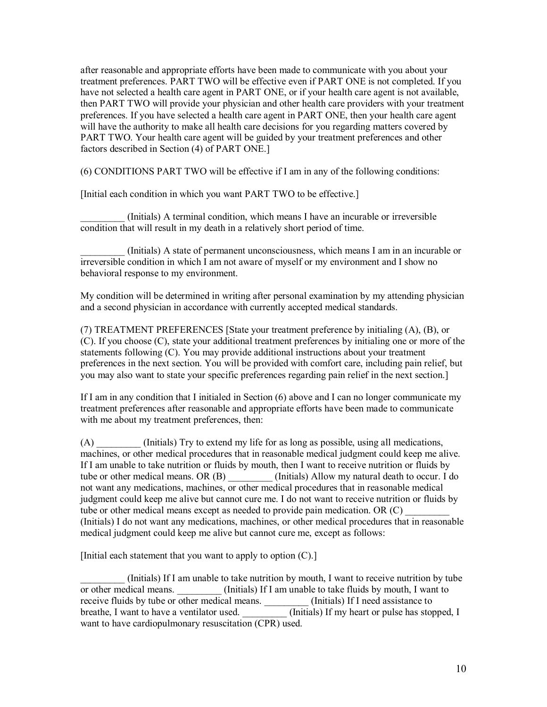after reasonable and appropriate efforts have been made to communicate with you about your treatment preferences. PART TWO will be effective even if PART ONE is not completed. If you have not selected a health care agent in PART ONE, or if your health care agent is not available, then PART TWO will provide your physician and other health care providers with your treatment preferences. If you have selected a health care agent in PART ONE, then your health care agent will have the authority to make all health care decisions for you regarding matters covered by PART TWO. Your health care agent will be guided by your treatment preferences and other factors described in Section (4) of PART ONE.]

(6) CONDITIONS PART TWO will be effective if I am in any of the following conditions:

[Initial each condition in which you want PART TWO to be effective.]

\_\_\_\_\_\_\_\_\_ (Initials) A terminal condition, which means I have an incurable or irreversible condition that will result in my death in a relatively short period of time.

\_\_\_\_\_\_\_\_\_ (Initials) A state of permanent unconsciousness, which means I am in an incurable or irreversible condition in which I am not aware of myself or my environment and I show no behavioral response to my environment.

My condition will be determined in writing after personal examination by my attending physician and a second physician in accordance with currently accepted medical standards.

(7) TREATMENT PREFERENCES [State your treatment preference by initialing (A), (B), or (C). If you choose (C), state your additional treatment preferences by initialing one or more of the statements following (C). You may provide additional instructions about your treatment preferences in the next section. You will be provided with comfort care, including pain relief, but you may also want to state your specific preferences regarding pain relief in the next section.]

If I am in any condition that I initialed in Section (6) above and I can no longer communicate my treatment preferences after reasonable and appropriate efforts have been made to communicate with me about my treatment preferences, then:

(A) \_\_\_\_\_\_\_\_\_ (Initials) Try to extend my life for as long as possible, using all medications, machines, or other medical procedures that in reasonable medical judgment could keep me alive. If I am unable to take nutrition or fluids by mouth, then I want to receive nutrition or fluids by tube or other medical means. OR (B) (Initials) Allow my natural death to occur. I c (Initials) Allow my natural death to occur. I do not want any medications, machines, or other medical procedures that in reasonable medical judgment could keep me alive but cannot cure me. I do not want to receive nutrition or fluids by tube or other medical means except as needed to provide pain medication. OR  $(C)$ (Initials) I do not want any medications, machines, or other medical procedures that in reasonable medical judgment could keep me alive but cannot cure me, except as follows:

[Initial each statement that you want to apply to option (C).]

\_\_\_\_\_\_\_\_\_ (Initials) If I am unable to take nutrition by mouth, I want to receive nutrition by tube or other medical means. (Initials) If I am unable to take fluids by mouth, I want to receive fluids by tube or other medical means. \_\_\_\_\_\_\_\_\_\_ (Initials) If I need assistance to breathe, I want to have a ventilator used.  $\overline{(\text{Initials})}$  If my heart or pulse has stopped, I want to have cardiopulmonary resuscitation (CPR) used.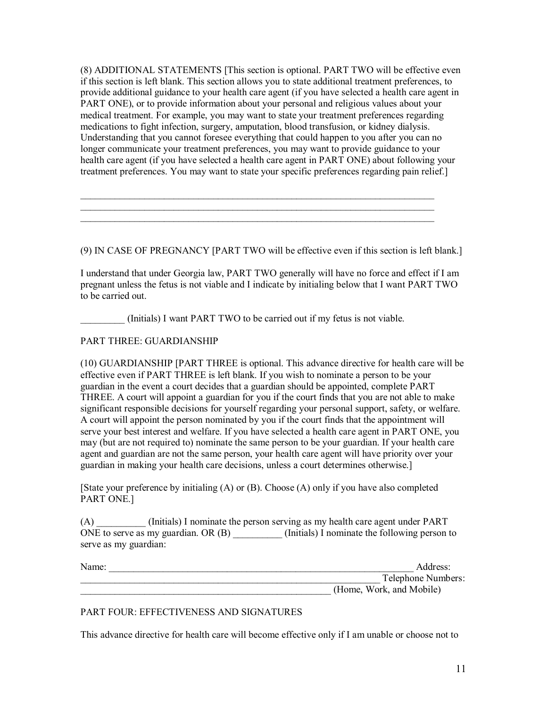(8) ADDITIONAL STATEMENTS [This section is optional. PART TWO will be effective even if this section is left blank. This section allows you to state additional treatment preferences, to provide additional guidance to your health care agent (if you have selected a health care agent in PART ONE), or to provide information about your personal and religious values about your medical treatment. For example, you may want to state your treatment preferences regarding medications to fight infection, surgery, amputation, blood transfusion, or kidney dialysis. Understanding that you cannot foresee everything that could happen to you after you can no longer communicate your treatment preferences, you may want to provide guidance to your health care agent (if you have selected a health care agent in PART ONE) about following your treatment preferences. You may want to state your specific preferences regarding pain relief.]

(9) IN CASE OF PREGNANCY [PART TWO will be effective even if this section is left blank.]

 $\mathcal{L}_\text{max}$  and  $\mathcal{L}_\text{max}$  and  $\mathcal{L}_\text{max}$  and  $\mathcal{L}_\text{max}$  and  $\mathcal{L}_\text{max}$  and  $\mathcal{L}_\text{max}$  $\mathcal{L}_\text{max}$  and  $\mathcal{L}_\text{max}$  and  $\mathcal{L}_\text{max}$  and  $\mathcal{L}_\text{max}$  and  $\mathcal{L}_\text{max}$  and  $\mathcal{L}_\text{max}$  $\mathcal{L}_\text{max}$  and  $\mathcal{L}_\text{max}$  and  $\mathcal{L}_\text{max}$  and  $\mathcal{L}_\text{max}$  and  $\mathcal{L}_\text{max}$  and  $\mathcal{L}_\text{max}$ 

I understand that under Georgia law, PART TWO generally will have no force and effect if I am pregnant unless the fetus is not viable and I indicate by initialing below that I want PART TWO to be carried out.

\_\_\_\_\_\_\_\_\_ (Initials) I want PART TWO to be carried out if my fetus is not viable.

PART THREE: GUARDIANSHIP

(10) GUARDIANSHIP [PART THREE is optional. This advance directive for health care will be effective even if PART THREE is left blank. If you wish to nominate a person to be your guardian in the event a court decides that a guardian should be appointed, complete PART THREE. A court will appoint a guardian for you if the court finds that you are not able to make significant responsible decisions for yourself regarding your personal support, safety, or welfare. A court will appoint the person nominated by you if the court finds that the appointment will serve your best interest and welfare. If you have selected a health care agent in PART ONE, you may (but are not required to) nominate the same person to be your guardian. If your health care agent and guardian are not the same person, your health care agent will have priority over your guardian in making your health care decisions, unless a court determines otherwise.]

[State your preference by initialing (A) or (B). Choose (A) only if you have also completed PART ONE.]

(A) \_\_\_\_\_\_\_\_\_\_ (Initials) I nominate the person serving as my health care agent under PART ONE to serve as my guardian. OR  $(B)$  (Initials) I nominate the following person to serve as my guardian:

| Name: | Address:                 |
|-------|--------------------------|
|       | Telephone Numbers:       |
|       | (Home, Work, and Mobile) |

# PART FOUR: EFFECTIVENESS AND SIGNATURES

This advance directive for health care will become effective only if I am unable or choose not to